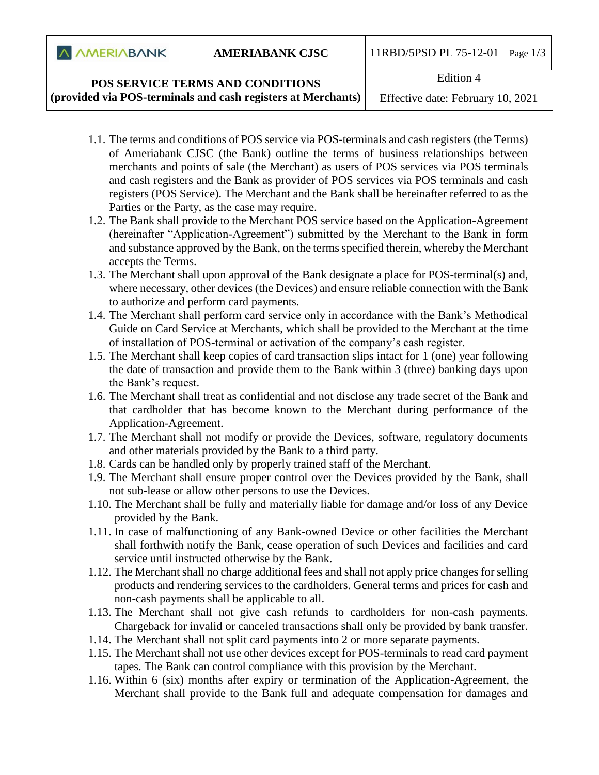**A AMERIABANK** 

## **POS SERVICE TERMS AND CONDITIONS (provided via POS-terminals and cash registers at Merchants)**

Edition 4

Effective date: February 10, 2021

- 1.1. The terms and conditions of POS service via POS-terminals and cash registers (the Terms) of Ameriabank CJSC (the Bank) outline the terms of business relationships between merchants and points of sale (the Merchant) as users of POS services via POS terminals and cash registers and the Bank as provider of POS services via POS terminals and cash registers (POS Service). The Merchant and the Bank shall be hereinafter referred to as the Parties or the Party, as the case may require.
- 1.2. The Bank shall provide to the Merchant POS service based on the Application-Agreement (hereinafter "Application-Agreement") submitted by the Merchant to the Bank in form and substance approved by the Bank, on the terms specified therein, whereby the Merchant accepts the Terms.
- 1.3. The Merchant shall upon approval of the Bank designate a place for POS-terminal(s) and, where necessary, other devices (the Devices) and ensure reliable connection with the Bank to authorize and perform card payments.
- 1.4. The Merchant shall perform card service only in accordance with the Bank's Methodical Guide on Card Service at Merchants, which shall be provided to the Merchant at the time of installation of POS-terminal or activation of the company's cash register.
- 1.5. The Merchant shall keep copies of card transaction slips intact for 1 (one) year following the date of transaction and provide them to the Bank within 3 (three) banking days upon the Bank's request.
- 1.6. The Merchant shall treat as confidential and not disclose any trade secret of the Bank and that cardholder that has become known to the Merchant during performance of the Application-Agreement.
- 1.7. The Merchant shall not modify or provide the Devices, software, regulatory documents and other materials provided by the Bank to a third party.
- 1.8. Cards can be handled only by properly trained staff of the Merchant.
- 1.9. The Merchant shall ensure proper control over the Devices provided by the Bank, shall not sub-lease or allow other persons to use the Devices.
- 1.10. The Merchant shall be fully and materially liable for damage and/or loss of any Device provided by the Bank.
- 1.11. In case of malfunctioning of any Bank-owned Device or other facilities the Merchant shall forthwith notify the Bank, cease operation of such Devices and facilities and card service until instructed otherwise by the Bank.
- 1.12. The Merchant shall no charge additional fees and shall not apply price changes for selling products and rendering services to the cardholders. General terms and prices for cash and non-cash payments shall be applicable to all.
- 1.13. The Merchant shall not give cash refunds to cardholders for non-cash payments. Chargeback for invalid or canceled transactions shall only be provided by bank transfer.
- 1.14. The Merchant shall not split card payments into 2 or more separate payments.
- 1.15. The Merchant shall not use other devices except for POS-terminals to read card payment tapes. The Bank can control compliance with this provision by the Merchant.
- 1.16. Within 6 (six) months after expiry or termination of the Application-Agreement, the Merchant shall provide to the Bank full and adequate compensation for damages and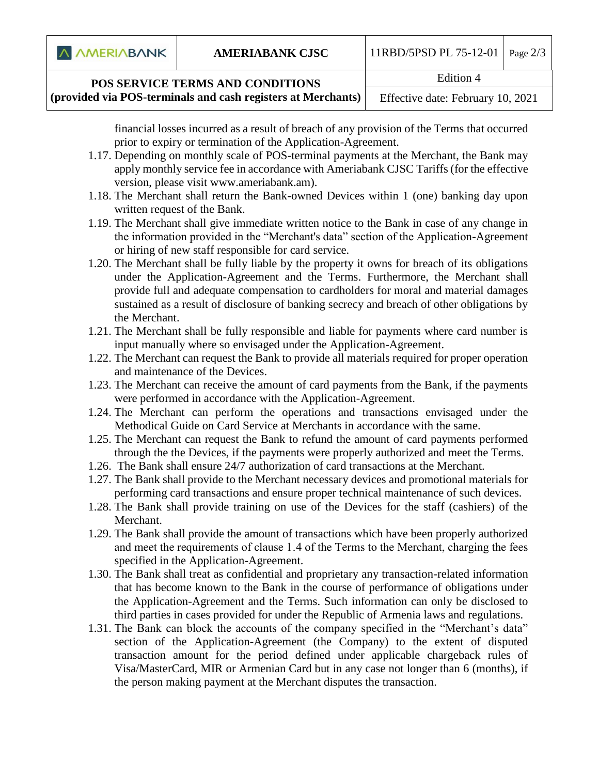

## **POS SERVICE TERMS AND CONDITIONS**

**(provided via POS-terminals and cash registers at Merchants)**

financial losses incurred as a result of breach of any provision of the Terms that occurred prior to expiry or termination of the Application-Agreement.

- 1.17. Depending on monthly scale of POS-terminal payments at the Merchant, the Bank may apply monthly service fee in accordance with Ameriabank CJS[C Tariffs](http://www.ameriabank.am/) (for the effective version, please visit [www.ameriabank.am\)](http://www.ameriabank.am/).
- 1.18. The Merchant shall return the Bank-owned Devices within 1 (one) banking day upon written request of the Bank.
- 1.19. The Merchant shall give immediate written notice to the Bank in case of any change in the information provided in the "Merchant's data" section of the Application-Agreement or hiring of new staff responsible for card service.
- 1.20. The Merchant shall be fully liable by the property it owns for breach of its obligations under the Application-Agreement and the Terms. Furthermore, the Merchant shall provide full and adequate compensation to cardholders for moral and material damages sustained as a result of disclosure of banking secrecy and breach of other obligations by the Merchant.
- 1.21. The Merchant shall be fully responsible and liable for payments where card number is input manually where so envisaged under the Application-Agreement.
- 1.22. The Merchant can request the Bank to provide all materials required for proper operation and maintenance of the Devices.
- 1.23. The Merchant can receive the amount of card payments from the Bank, if the payments were performed in accordance with the Application-Agreement.
- 1.24. The Merchant can perform the operations and transactions envisaged under the Methodical Guide on Card Service at Merchants in accordance with the same.
- 1.25. The Merchant can request the Bank to refund the amount of card payments performed through the the Devices, if the payments were properly authorized and meet the Terms.
- 1.26. The Bank shall ensure 24/7 authorization of card transactions at the Merchant.
- 1.27. The Bank shall provide to the Merchant necessary devices and promotional materials for performing card transactions and ensure proper technical maintenance of such devices.
- 1.28. The Bank shall provide training on use of the Devices for the staff (cashiers) of the Merchant.
- 1.29. The Bank shall provide the amount of transactions which have been properly authorized and meet the requirements of clause 1․4 of the Terms to the Merchant, charging the fees specified in the Application-Agreement.
- 1.30. The Bank shall treat as confidential and proprietary any transaction-related information that has become known to the Bank in the course of performance of obligations under the Application-Agreement and the Terms. Such information can only be disclosed to third parties in cases provided for under the Republic of Armenia laws and regulations.
- 1.31. The Bank can block the accounts of the company specified in the "Merchant's data" section of the Application-Agreement (the Company) to the extent of disputed transaction amount for the period defined under applicable chargeback rules of Visa/MasterCard, MIR or Armenian Card but in any case not longer than 6 (months), if the person making payment at the Merchant disputes the transaction.